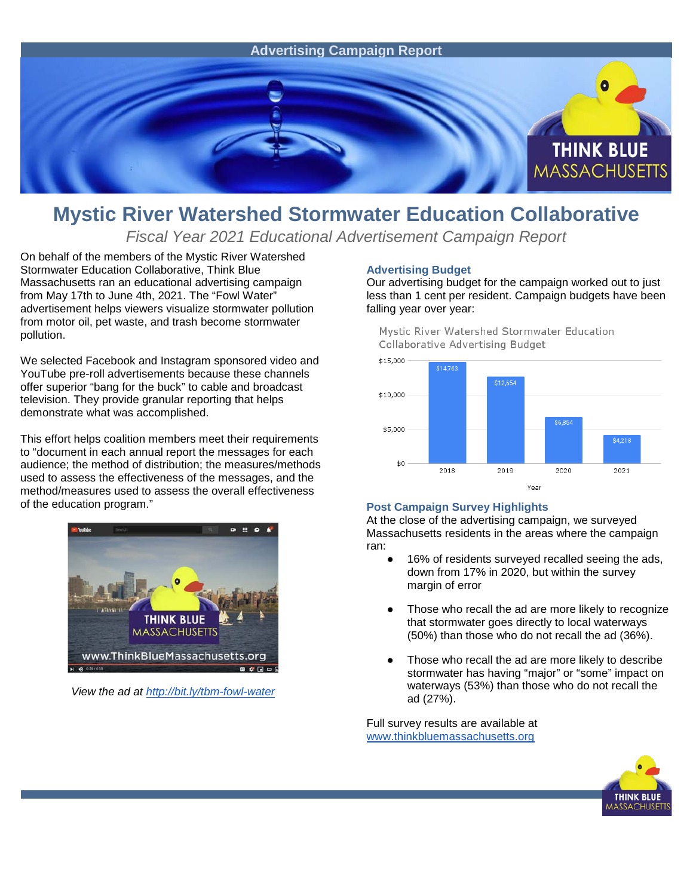

## **Mystic River Watershed Stormwater Education Collaborative**

*Fiscal Year 2021 Educational Advertisement Campaign Report*

On behalf of the members of the Mystic River Watershed Stormwater Education Collaborative, Think Blue Massachusetts ran an educational advertising campaign from May 17th to June 4th, 2021. The "Fowl Water" advertisement helps viewers visualize stormwater pollution from motor oil, pet waste, and trash become stormwater pollution.

We selected Facebook and Instagram sponsored video and YouTube pre-roll advertisements because these channels offer superior "bang for the buck" to cable and broadcast television. They provide granular reporting that helps demonstrate what was accomplished.

This effort helps coalition members meet their requirements to "document in each annual report the messages for each audience; the method of distribution; the measures/methods used to assess the effectiveness of the messages, and the method/measures used to assess the overall effectiveness of the education program."



*View the ad at<http://bit.ly/tbm-fowl-water>*

## **Advertising Budget**

Our advertising budget for the campaign worked out to just less than 1 cent per resident. Campaign budgets have been falling year over year:

Mystic River Watershed Stormwater Education Collaborative Advertising Budget



## **Post Campaign Survey Highlights**

At the close of the advertising campaign, we surveyed Massachusetts residents in the areas where the campaign ran:

- 16% of residents surveyed recalled seeing the ads, down from 17% in 2020, but within the survey margin of error
- Those who recall the ad are more likely to recognize that stormwater goes directly to local waterways (50%) than those who do not recall the ad (36%).
- Those who recall the ad are more likely to describe stormwater has having "major" or "some" impact on waterways (53%) than those who do not recall the ad (27%).

Full survey results are available at [www.thinkbluemassachusetts.org](http://www.thinkbluemassachusetts.org/)